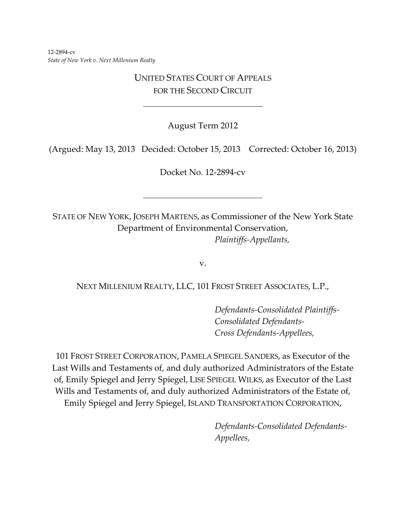12-2894-cv *State of New York v. Next Millenium Realty*

# UNITED STATES COURT OF APPEALS FOR THE SECOND CIRCUIT

August Term 2012

(Argued: May 13, 2013 Decided: October 15, 2013 Corrected: October 16, 2013)

Docket No. 12-2894-cv

STATE OF NEW YORK, JOSEPH MARTENS, as Commissioner of the New York State Department of Environmental Conservation, *Plaintiffs-Appellants,*

v.

### NEXT MILLENIUM REALTY, LLC, 101 FROST STREET ASSOCIATES, L.P.,

*Defendants-Consolidated Plaintiffs-Consolidated Defendants-Cross Defendants-Appellees,*

101 FROST STREET CORPORATION, PAMELA SPIEGEL SANDERS, as Executor of the Last Wills and Testaments of, and duly authorized Administrators of the Estate of, Emily Spiegel and Jerry Spiegel, LISE SPIEGEL WILKS, as Executor of the Last Wills and Testaments of, and duly authorized Administrators of the Estate of, Emily Spiegel and Jerry Spiegel, ISLAND TRANSPORTATION CORPORATION,

> *Defendants-Consolidated Defendants-Appellees,*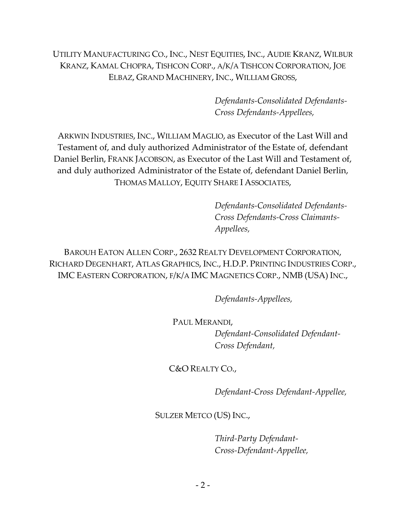UTILITY MANUFACTURING CO., INC., NEST EQUITIES, INC., AUDIE KRANZ, WILBUR KRANZ, KAMAL CHOPRA, TISHCON CORP., A/K/A TISHCON CORPORATION, JOE ELBAZ, GRAND MACHINERY, INC., WILLIAM GROSS,

> *Defendants-Consolidated Defendants-Cross Defendants-Appellees,*

ARKWIN INDUSTRIES, INC., WILLIAM MAGLIO, as Executor of the Last Will and Testament of, and duly authorized Administrator of the Estate of, defendant Daniel Berlin, FRANK JACOBSON, as Executor of the Last Will and Testament of, and duly authorized Administrator of the Estate of, defendant Daniel Berlin, THOMAS MALLOY, EQUITY SHARE I ASSOCIATES,

> *Defendants-Consolidated Defendants-Cross Defendants-Cross Claimants-Appellees,*

BAROUH EATON ALLEN CORP., 2632 REALTY DEVELOPMENT CORPORATION, RICHARD DEGENHART, ATLAS GRAPHICS, INC., H.D.P. PRINTING INDUSTRIES CORP., IMC EASTERN CORPORATION, F/K/A IMC MAGNETICS CORP., NMB (USA) INC.,

*Defendants-Appellees,*

PAUL MERANDI,

*Defendant-Consolidated Defendant-Cross Defendant,*

C&O REALTY CO.,

*Defendant-Cross Defendant-Appellee,*

SULZER METCO (US) INC.,

*Third-Party Defendant-Cross-Defendant-Appellee,*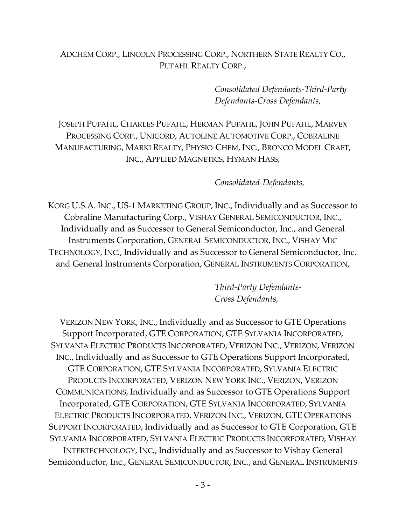# ADCHEM CORP., LINCOLN PROCESSING CORP., NORTHERN STATE REALTY CO., PUFAHL REALTY CORP.,

*Consolidated Defendants-Third-Party Defendants-Cross Defendants,*

JOSEPH PUFAHL, CHARLES PUFAHL, HERMAN PUFAHL, JOHN PUFAHL, MARVEX PROCESSING CORP., UNICORD, AUTOLINE AUTOMOTIVE CORP., COBRALINE MANUFACTURING, MARKI REALTY, PHYSIO-CHEM, INC., BRONCO MODEL CRAFT, INC., APPLIED MAGNETICS, HYMAN HASS,

*Consolidated-Defendants,*

KORG U.S.A. INC., US-1 MARKETING GROUP, INC., Individually and as Successor to Cobraline Manufacturing Corp., VISHAY GENERAL SEMICONDUCTOR, INC., Individually and as Successor to General Semiconductor, Inc., and General Instruments Corporation, GENERAL SEMICONDUCTOR, INC., VISHAY MIC TECHNOLOGY, INC., Individually and as Successor to General Semiconductor, Inc. and General Instruments Corporation, GENERAL INSTRUMENTS CORPORATION,

> *Third-Party Defendants-Cross Defendants,*

VERIZON NEW YORK, INC., Individually and as Successor to GTE Operations Support Incorporated, GTE CORPORATION, GTE SYLVANIA INCORPORATED, SYLVANIA ELECTRIC PRODUCTS INCORPORATED, VERIZON INC., VERIZON, VERIZON INC., Individually and as Successor to GTE Operations Support Incorporated, GTE CORPORATION, GTE SYLVANIA INCORPORATED, SYLVANIA ELECTRIC PRODUCTS INCORPORATED, VERIZON NEW YORK INC., VERIZON, VERIZON COMMUNICATIONS, Individually and as Successor to GTE Operations Support Incorporated, GTE CORPORATION, GTE SYLVANIA INCORPORATED, SYLVANIA ELECTRIC PRODUCTS INCORPORATED, VERIZON INC., VERIZON, GTE OPERATIONS SUPPORT INCORPORATED, Individually and as Successor to GTE Corporation, GTE SYLVANIA INCORPORATED, SYLVANIA ELECTRIC PRODUCTS INCORPORATED, VISHAY INTERTECHNOLOGY, INC., Individually and as Successor to Vishay General Semiconductor, Inc., GENERAL SEMICONDUCTOR, INC., and GENERAL INSTRUMENTS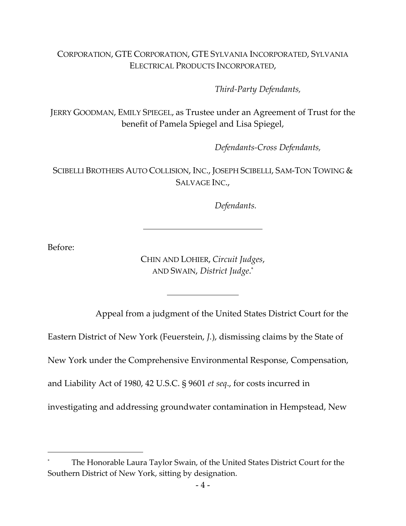# CORPORATION, GTE CORPORATION, GTE SYLVANIA INCORPORATED, SYLVANIA ELECTRICAL PRODUCTS INCORPORATED,

*Third-Party Defendants,*

JERRY GOODMAN, EMILY SPIEGEL, as Trustee under an Agreement of Trust for the benefit of Pamela Spiegel and Lisa Spiegel,

*Defendants-Cross Defendants,*

SCIBELLI BROTHERS AUTO COLLISION, INC., JOSEPH SCIBELLI, SAM-TON TOWING & SALVAGE INC.,

*Defendants.*

Before:

CHIN AND LOHIER, *Circuit Judges*, AND SWAIN, *District Judge*. \*

Appeal from a judgment of the United States District Court for the

Eastern District of New York (Feuerstein, *J.*), dismissing claims by the State of

New York under the Comprehensive Environmental Response, Compensation,

and Liability Act of 1980, 42 U.S.C. § 9601 *et seq*., for costs incurred in

investigating and addressing groundwater contamination in Hempstead, New

The Honorable Laura Taylor Swain, of the United States District Court for the Southern District of New York, sitting by designation.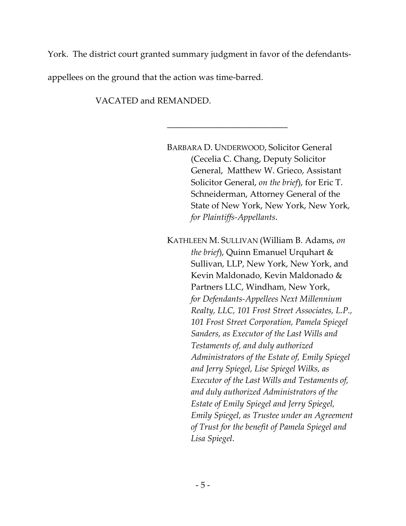York. The district court granted summary judgment in favor of the defendants-

\_\_\_\_\_\_\_\_\_\_\_\_\_\_\_\_\_\_\_\_\_\_\_\_\_\_\_\_

appellees on the ground that the action was time-barred.

VACATED and REMANDED.

BARBARA D. UNDERWOOD, Solicitor General (Cecelia C. Chang, Deputy Solicitor General, Matthew W. Grieco, Assistant Solicitor General, *on the brief*), for Eric T. Schneiderman, Attorney General of the State of New York, New York, New York, *for Plaintiffs-Appellants*. KATHLEEN M. SULLIVAN (William B. Adams, *on the brief*), Quinn Emanuel Urquhart & Sullivan, LLP, New York, New York, and Kevin Maldonado, Kevin Maldonado & Partners LLC, Windham, New York, *for Defendants-Appellees Next Millennium Realty, LLC, 101 Frost Street Associates, L.P., 101 Frost Street Corporation, Pamela Spiegel Sanders, as Executor of the Last Wills and Testaments of, and duly authorized Administrators of the Estate of, Emily Spiegel and Jerry Spiegel, Lise Spiegel Wilks, as Executor of the Last Wills and Testaments of, and duly authorized Administrators of the Estate of Emily Spiegel and Jerry Spiegel, Emily Spiegel, as Trustee under an Agreement of Trust for the benefit of Pamela Spiegel and Lisa Spiegel*.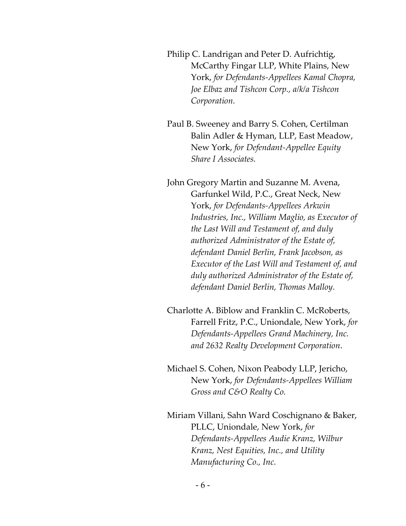Philip C. Landrigan and Peter D. Aufrichtig, McCarthy Fingar LLP, White Plains, New York, *for Defendants-Appellees Kamal Chopra, Joe Elbaz and Tishcon Corp., a/k/a Tishcon Corporation.*

Paul B. Sweeney and Barry S. Cohen, Certilman Balin Adler & Hyman, LLP, East Meadow, New York, *for Defendant-Appellee Equity Share I Associates.*

John Gregory Martin and Suzanne M. Avena, Garfunkel Wild, P.C., Great Neck, New York, *for Defendants-Appellees Arkwin Industries, Inc., William Maglio, as Executor of the Last Will and Testament of, and duly authorized Administrator of the Estate of, defendant Daniel Berlin, Frank Jacobson, as Executor of the Last Will and Testament of, and duly authorized Administrator of the Estate of, defendant Daniel Berlin, Thomas Malloy.*

Charlotte A. Biblow and Franklin C. McRoberts, Farrell Fritz, P.C., Uniondale, New York, *for Defendants-Appellees Grand Machinery, Inc. and 2632 Realty Development Corporation*.

Michael S. Cohen, Nixon Peabody LLP, Jericho, New York, *for Defendants-Appellees William Gross and C&O Realty Co.*

Miriam Villani, Sahn Ward Coschignano & Baker, PLLC, Uniondale, New York, *for Defendants-Appellees Audie Kranz, Wilbur Kranz, Nest Equities, Inc., and Utility Manufacturing Co., Inc.*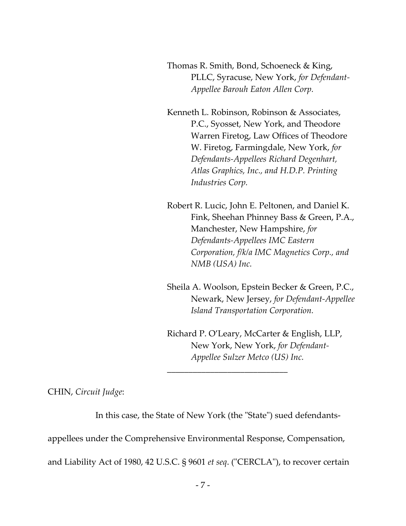Thomas R. Smith, Bond, Schoeneck & King, PLLC, Syracuse, New York, *for Defendant-Appellee Barouh Eaton Allen Corp.*

Kenneth L. Robinson, Robinson & Associates, P.C., Syosset, New York, and Theodore Warren Firetog, Law Offices of Theodore W. Firetog, Farmingdale, New York, *for Defendants-Appellees Richard Degenhart, Atlas Graphics, Inc., and H.D.P. Printing Industries Corp.*

Robert R. Lucic, John E. Peltonen, and Daniel K. Fink, Sheehan Phinney Bass & Green, P.A., Manchester, New Hampshire, *for Defendants-Appellees IMC Eastern Corporation, f/k/a IMC Magnetics Corp., and NMB (USA) Inc.*

Sheila A. Woolson, Epstein Becker & Green, P.C., Newark, New Jersey, *for Defendant-Appellee Island Transportation Corporation.*

Richard P. O'Leary, McCarter & English, LLP, New York, New York, *for Defendant-Appellee Sulzer Metco (US) Inc.*

CHIN, *Circuit Judge*:

In this case, the State of New York (the "State") sued defendants-

\_\_\_\_\_\_\_\_\_\_\_\_\_\_\_\_\_\_\_\_\_\_\_\_\_\_\_\_

appellees under the Comprehensive Environmental Response, Compensation,

and Liability Act of 1980, 42 U.S.C. § 9601 *et seq*. ("CERCLA"), to recover certain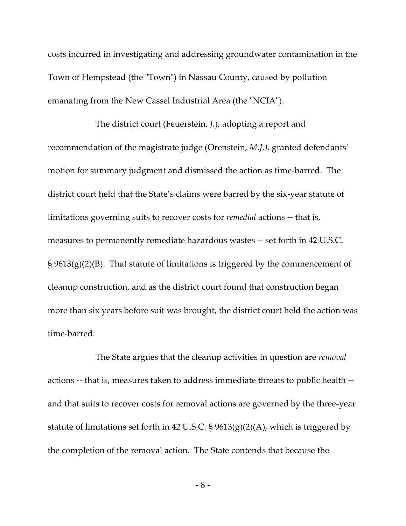costs incurred in investigating and addressing groundwater contamination in the Town of Hempstead (the "Town") in Nassau County, caused by pollution emanating from the New Cassel Industrial Area (the "NCIA").

The district court (Feuerstein, *J.*), adopting a report and recommendation of the magistrate judge (Orenstein, *M.J.),* granted defendants' motion for summary judgment and dismissed the action as time-barred. The district court held that the State's claims were barred by the six-year statute of limitations governing suits to recover costs for *remedial* actions -- that is, measures to permanently remediate hazardous wastes -- set forth in 42 U.S.C.  $\S 9613(g)(2)(B)$ . That statute of limitations is triggered by the commencement of cleanup construction, and as the district court found that construction began more than six years before suit was brought, the district court held the action was time-barred.

The State argues that the cleanup activities in question are *removal* actions -- that is, measures taken to address immediate threats to public health - and that suits to recover costs for removal actions are governed by the three-year statute of limitations set forth in 42 U.S.C.  $\S 9613(g)(2)(A)$ , which is triggered by the completion of the removal action. The State contends that because the

- 8 -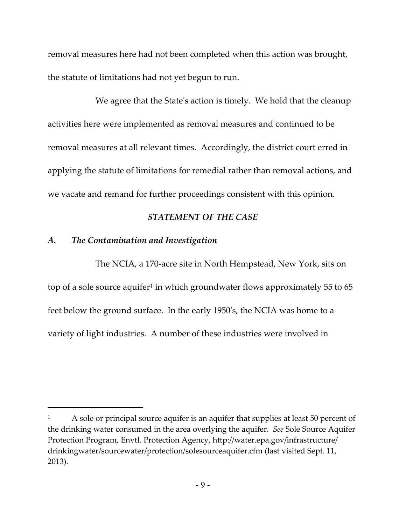removal measures here had not been completed when this action was brought, the statute of limitations had not yet begun to run.

We agree that the State's action is timely. We hold that the cleanup activities here were implemented as removal measures and continued to be removal measures at all relevant times. Accordingly, the district court erred in applying the statute of limitations for remedial rather than removal actions, and we vacate and remand for further proceedings consistent with this opinion.

# *STATEMENT OF THE CASE*

#### *A. The Contamination and Investigation*

The NCIA, a 170-acre site in North Hempstead, New York, sits on top of a sole source aquifer<sup>1</sup> in which groundwater flows approximately 55 to 65 feet below the ground surface. In the early 1950's, the NCIA was home to a variety of light industries. A number of these industries were involved in

<sup>1</sup> A sole or principal source aquifer is an aquifer that supplies at least 50 percent of the drinking water consumed in the area overlying the aquifer. *See* Sole Source Aquifer Protection Program, Envtl. Protection Agency, http://water.epa.gov/infrastructure/ drinkingwater/sourcewater/protection/solesourceaquifer.cfm (last visited Sept. 11, 2013).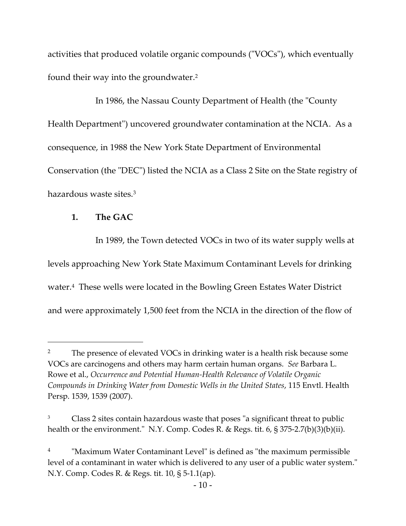activities that produced volatile organic compounds ("VOCs"), which eventually found their way into the groundwater.<sup>2</sup>

In 1986, the Nassau County Department of Health (the "County Health Department") uncovered groundwater contamination at the NCIA. As a consequence, in 1988 the New York State Department of Environmental Conservation (the "DEC") listed the NCIA as a Class 2 Site on the State registry of hazardous waste sites.<sup>3</sup>

# **1. The GAC**

In 1989, the Town detected VOCs in two of its water supply wells at levels approaching New York State Maximum Contaminant Levels for drinking water. 4 These wells were located in the Bowling Green Estates Water District and were approximately 1,500 feet from the NCIA in the direction of the flow of

<sup>&</sup>lt;sup>2</sup> The presence of elevated VOCs in drinking water is a health risk because some VOCs are carcinogens and others may harm certain human organs. *See* Barbara L. Rowe et al., *Occurrence and Potential Human-Health Relevance of Volatile Organic Compounds in Drinking Water from Domestic Wells in the United States*, 115 Envtl. Health Persp. 1539, 1539 (2007).

Class 2 sites contain hazardous waste that poses "a significant threat to public health or the environment." N.Y. Comp. Codes R. & Regs. tit. 6, § 375-2.7(b)(3)(b)(ii).

<sup>4</sup> "Maximum Water Contaminant Level" is defined as "the maximum permissible level of a contaminant in water which is delivered to any user of a public water system." N.Y. Comp. Codes R. & Regs. tit. 10, § 5-1.1(ap).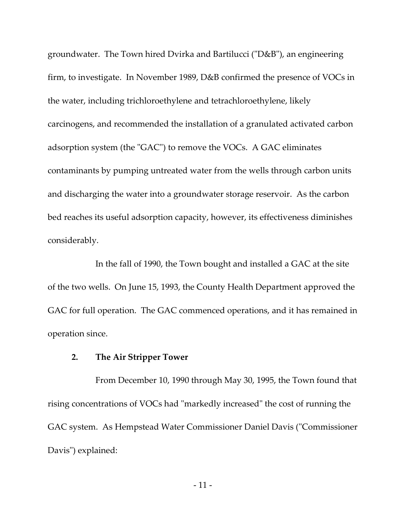groundwater. The Town hired Dvirka and Bartilucci ("D&B"), an engineering firm, to investigate. In November 1989, D&B confirmed the presence of VOCs in the water, including trichloroethylene and tetrachloroethylene, likely carcinogens, and recommended the installation of a granulated activated carbon adsorption system (the "GAC") to remove the VOCs. A GAC eliminates contaminants by pumping untreated water from the wells through carbon units and discharging the water into a groundwater storage reservoir. As the carbon bed reaches its useful adsorption capacity, however, its effectiveness diminishes considerably.

In the fall of 1990, the Town bought and installed a GAC at the site of the two wells. On June 15, 1993, the County Health Department approved the GAC for full operation. The GAC commenced operations, and it has remained in operation since.

#### **2. The Air Stripper Tower**

From December 10, 1990 through May 30, 1995, the Town found that rising concentrations of VOCs had "markedly increased" the cost of running the GAC system. As Hempstead Water Commissioner Daniel Davis ("Commissioner Davis") explained: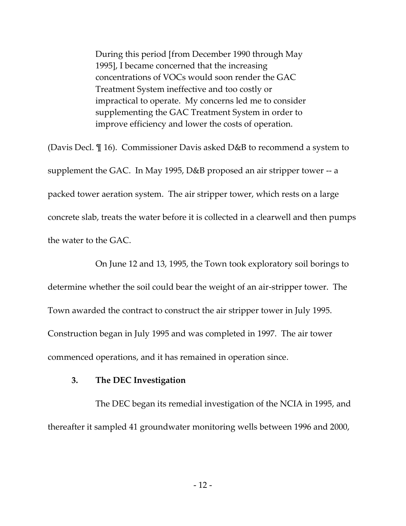During this period [from December 1990 through May 1995], I became concerned that the increasing concentrations of VOCs would soon render the GAC Treatment System ineffective and too costly or impractical to operate. My concerns led me to consider supplementing the GAC Treatment System in order to improve efficiency and lower the costs of operation.

(Davis Decl. ¶ 16). Commissioner Davis asked D&B to recommend a system to supplement the GAC. In May 1995, D&B proposed an air stripper tower -- a packed tower aeration system. The air stripper tower, which rests on a large concrete slab, treats the water before it is collected in a clearwell and then pumps the water to the GAC.

On June 12 and 13, 1995, the Town took exploratory soil borings to determine whether the soil could bear the weight of an air-stripper tower. The Town awarded the contract to construct the air stripper tower in July 1995. Construction began in July 1995 and was completed in 1997. The air tower commenced operations, and it has remained in operation since.

#### **3. The DEC Investigation**

The DEC began its remedial investigation of the NCIA in 1995, and thereafter it sampled 41 groundwater monitoring wells between 1996 and 2000,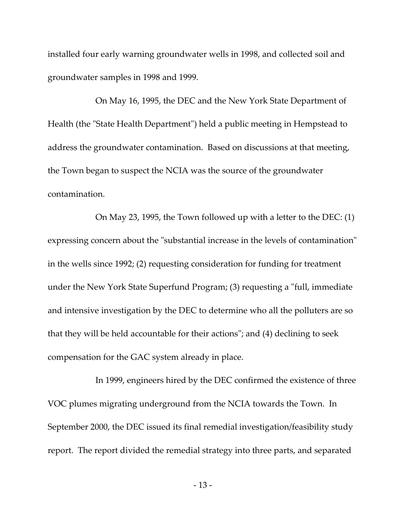installed four early warning groundwater wells in 1998, and collected soil and groundwater samples in 1998 and 1999.

On May 16, 1995, the DEC and the New York State Department of Health (the "State Health Department") held a public meeting in Hempstead to address the groundwater contamination. Based on discussions at that meeting, the Town began to suspect the NCIA was the source of the groundwater contamination.

On May 23, 1995, the Town followed up with a letter to the DEC: (1) expressing concern about the "substantial increase in the levels of contamination" in the wells since 1992; (2) requesting consideration for funding for treatment under the New York State Superfund Program; (3) requesting a "full, immediate and intensive investigation by the DEC to determine who all the polluters are so that they will be held accountable for their actions"; and (4) declining to seek compensation for the GAC system already in place.

In 1999, engineers hired by the DEC confirmed the existence of three VOC plumes migrating underground from the NCIA towards the Town. In September 2000, the DEC issued its final remedial investigation/feasibility study report. The report divided the remedial strategy into three parts, and separated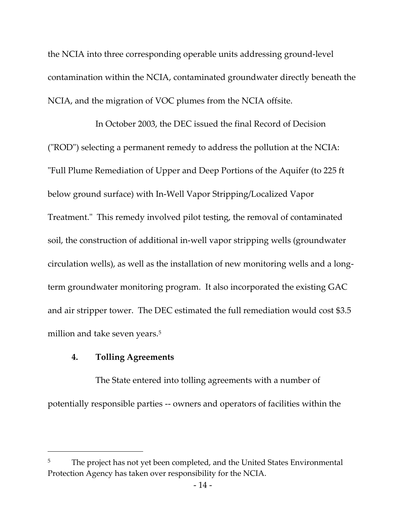the NCIA into three corresponding operable units addressing ground-level contamination within the NCIA, contaminated groundwater directly beneath the NCIA, and the migration of VOC plumes from the NCIA offsite.

In October 2003, the DEC issued the final Record of Decision ("ROD") selecting a permanent remedy to address the pollution at the NCIA: "Full Plume Remediation of Upper and Deep Portions of the Aquifer (to 225 ft below ground surface) with In-Well Vapor Stripping/Localized Vapor Treatment." This remedy involved pilot testing, the removal of contaminated soil, the construction of additional in-well vapor stripping wells (groundwater circulation wells), as well as the installation of new monitoring wells and a longterm groundwater monitoring program. It also incorporated the existing GAC and air stripper tower. The DEC estimated the full remediation would cost \$3.5 million and take seven years.<sup>5</sup>

### **4. Tolling Agreements**

 $\overline{a}$ 

The State entered into tolling agreements with a number of potentially responsible parties -- owners and operators of facilities within the

The project has not yet been completed, and the United States Environmental Protection Agency has taken over responsibility for the NCIA.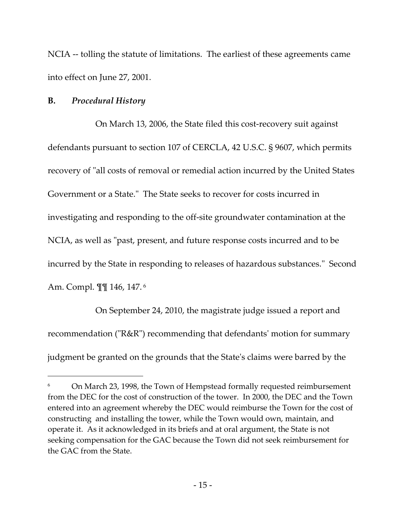NCIA -- tolling the statute of limitations. The earliest of these agreements came into effect on June 27, 2001.

#### **B.** *Procedural History*

On March 13, 2006, the State filed this cost-recovery suit against defendants pursuant to section 107 of CERCLA, 42 U.S.C. § 9607, which permits recovery of "all costs of removal or remedial action incurred by the United States Government or a State." The State seeks to recover for costs incurred in investigating and responding to the off-site groundwater contamination at the NCIA, as well as "past, present, and future response costs incurred and to be incurred by the State in responding to releases of hazardous substances." Second Am. Compl. ¶¶ 146, 147. <sup>6</sup>

On September 24, 2010, the magistrate judge issued a report and recommendation ("R&R") recommending that defendants' motion for summary judgment be granted on the grounds that the State's claims were barred by the

<sup>&</sup>lt;sup>6</sup> On March 23, 1998, the Town of Hempstead formally requested reimbursement from the DEC for the cost of construction of the tower. In 2000, the DEC and the Town entered into an agreement whereby the DEC would reimburse the Town for the cost of constructing and installing the tower, while the Town would own, maintain, and operate it. As it acknowledged in its briefs and at oral argument, the State is not seeking compensation for the GAC because the Town did not seek reimbursement for the GAC from the State.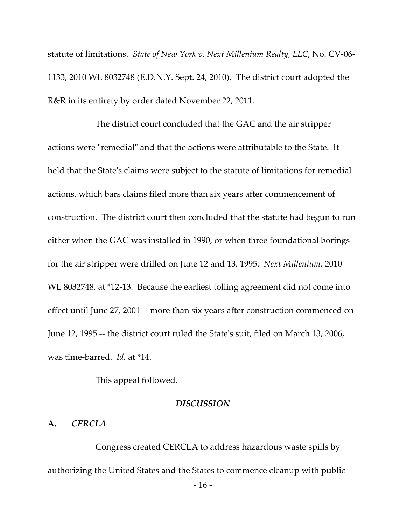statute of limitations. *State of New York v. Next Millenium Realty, LLC*, No. CV-06- 1133, 2010 WL 8032748 (E.D.N.Y. Sept. 24, 2010). The district court adopted the R&R in its entirety by order dated November 22, 2011.

The district court concluded that the GAC and the air stripper actions were "remedial" and that the actions were attributable to the State. It held that the State's claims were subject to the statute of limitations for remedial actions, which bars claims filed more than six years after commencement of construction. The district court then concluded that the statute had begun to run either when the GAC was installed in 1990, or when three foundational borings for the air stripper were drilled on June 12 and 13, 1995. *Next Millenium*, 2010 WL 8032748, at \*12-13. Because the earliest tolling agreement did not come into effect until June 27, 2001 -- more than six years after construction commenced on June 12, 1995 -- the district court ruled the State's suit, filed on March 13, 2006, was time-barred. *Id.* at \*14.

This appeal followed.

#### *DISCUSSION*

### **A***. CERCLA*

Congress created CERCLA to address hazardous waste spills by authorizing the United States and the States to commence cleanup with public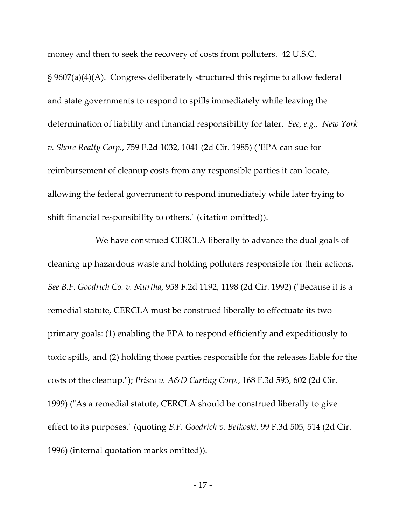money and then to seek the recovery of costs from polluters. 42 U.S.C. § 9607(a)(4)(A). Congress deliberately structured this regime to allow federal and state governments to respond to spills immediately while leaving the determination of liability and financial responsibility for later. *See, e.g., New York v. Shore Realty Corp.*, 759 F.2d 1032, 1041 (2d Cir. 1985) ("EPA can sue for reimbursement of cleanup costs from any responsible parties it can locate, allowing the federal government to respond immediately while later trying to shift financial responsibility to others." (citation omitted)).

We have construed CERCLA liberally to advance the dual goals of cleaning up hazardous waste and holding polluters responsible for their actions. *See B.F. Goodrich Co. v. Murtha*, 958 F.2d 1192, 1198 (2d Cir. 1992) ("Because it is a remedial statute, CERCLA must be construed liberally to effectuate its two primary goals: (1) enabling the EPA to respond efficiently and expeditiously to toxic spills, and (2) holding those parties responsible for the releases liable for the costs of the cleanup."); *Prisco v. A&D Carting Corp.*, 168 F.3d 593, 602 (2d Cir. 1999) ("As a remedial statute, CERCLA should be construed liberally to give effect to its purposes." (quoting *B.F. Goodrich v. Betkoski*, 99 F.3d 505, 514 (2d Cir. 1996) (internal quotation marks omitted)).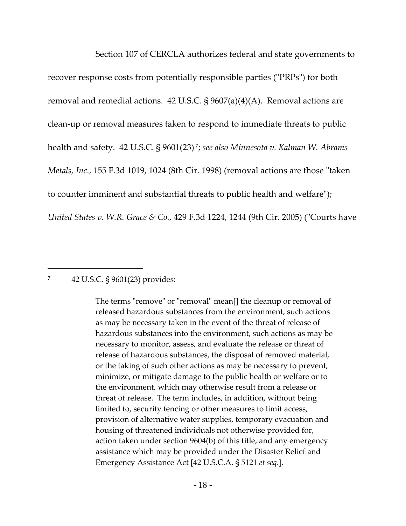Section 107 of CERCLA authorizes federal and state governments to recover response costs from potentially responsible parties ("PRPs") for both removal and remedial actions. 42 U.S.C.  $\S 9607(a)(4)(A)$ . Removal actions are clean-up or removal measures taken to respond to immediate threats to public health and safety. 42 U.S.C. § 9601(23) <sup>7</sup> ; *see also Minnesota v. Kalman W. Abrams Metals, Inc.,* 155 F.3d 1019, 1024 (8th Cir. 1998) (removal actions are those "taken to counter imminent and substantial threats to public health and welfare"); *United States v. W.R. Grace & Co.*, 429 F.3d 1224, 1244 (9th Cir. 2005) ("Courts have

#### 7 42 U.S.C. § 9601(23) provides:

The terms "remove" or "removal" mean[] the cleanup or removal of released hazardous substances from the environment, such actions as may be necessary taken in the event of the threat of release of hazardous substances into the environment, such actions as may be necessary to monitor, assess, and evaluate the release or threat of release of hazardous substances, the disposal of removed material, or the taking of such other actions as may be necessary to prevent, minimize, or mitigate damage to the public health or welfare or to the environment, which may otherwise result from a release or threat of release. The term includes, in addition, without being limited to, security fencing or other measures to limit access, provision of alternative water supplies, temporary evacuation and housing of threatened individuals not otherwise provided for, action taken under section 9604(b) of this title, and any emergency assistance which may be provided under the Disaster Relief and Emergency Assistance Act [42 U.S.C.A. § 5121 *et seq*.].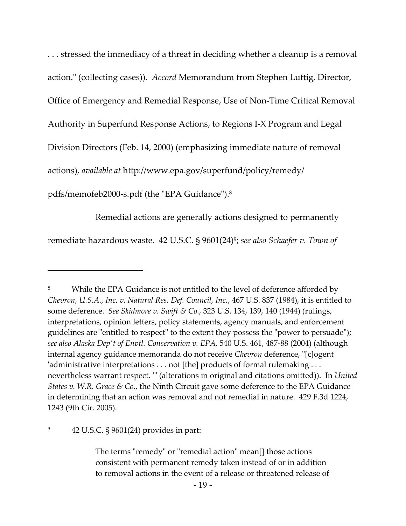. . . stressed the immediacy of a threat in deciding whether a cleanup is a removal action." (collecting cases)). *Accord* Memorandum from Stephen Luftig, Director, Office of Emergency and Remedial Response, Use of Non-Time Critical Removal Authority in Superfund Response Actions, to Regions I-X Program and Legal Division Directors (Feb. 14, 2000) (emphasizing immediate nature of removal

actions), *available at* http://www.epa.gov/superfund/policy/remedy/

pdfs/memofeb2000-s.pdf (the "EPA Guidance").<sup>8</sup>

 $\overline{a}$ 

Remedial actions are generally actions designed to permanently

remediate hazardous waste. 42 U.S.C. § 9601(24)<sup>9</sup> ; *see also Schaefer v. Town of* 

<sup>8</sup> While the EPA Guidance is not entitled to the level of deference afforded by *Chevron, U.S.A., Inc. v. Natural Res. Def. Council, Inc.*, 467 U.S. 837 (1984), it is entitled to some deference. *See Skidmore v. Swift & Co.*, 323 U.S. 134, 139, 140 (1944) (rulings, interpretations, opinion letters, policy statements, agency manuals, and enforcement guidelines are "entitled to respect" to the extent they possess the "power to persuade"); *see also Alaska Dep't of Envtl. Conservation v. EPA*, 540 U.S. 461, 487-88 (2004) (although internal agency guidance memoranda do not receive *Chevron* deference, "[c]ogent 'administrative interpretations . . . not [the] products of formal rulemaking . . . nevertheless warrant respect. '" (alterations in original and citations omitted)). In *United States v. W.R. Grace & Co.*, the Ninth Circuit gave some deference to the EPA Guidance in determining that an action was removal and not remedial in nature. 429 F.3d 1224, 1243 (9th Cir. 2005).

<sup>9</sup> 42 U.S.C. § 9601(24) provides in part:

The terms "remedy" or "remedial action" mean[] those actions consistent with permanent remedy taken instead of or in addition to removal actions in the event of a release or threatened release of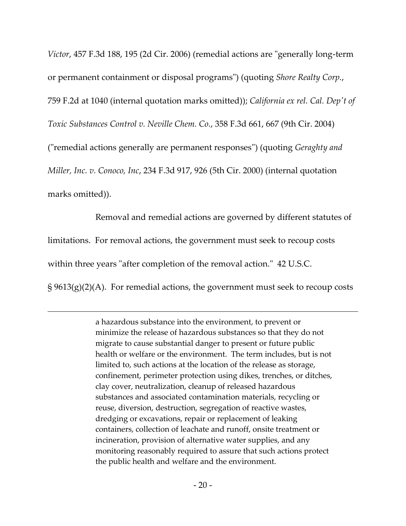*Victor*, 457 F.3d 188, 195 (2d Cir. 2006) (remedial actions are "generally long-term or permanent containment or disposal programs") (quoting *Shore Realty Corp.*, 759 F.2d at 1040 (internal quotation marks omitted)); *California ex rel. Cal. Dep't of Toxic Substances Control v. Neville Chem. Co.*, 358 F.3d 661, 667 (9th Cir. 2004) ("remedial actions generally are permanent responses") (quoting *Geraghty and Miller, Inc. v. Conoco, Inc*, 234 F.3d 917, 926 (5th Cir. 2000) (internal quotation marks omitted)).

Removal and remedial actions are governed by different statutes of limitations. For removal actions, the government must seek to recoup costs within three years "after completion of the removal action." 42 U.S.C. § 9613(g)(2)(A). For remedial actions, the government must seek to recoup costs

a hazardous substance into the environment, to prevent or minimize the release of hazardous substances so that they do not migrate to cause substantial danger to present or future public health or welfare or the environment. The term includes, but is not limited to, such actions at the location of the release as storage, confinement, perimeter protection using dikes, trenches, or ditches, clay cover, neutralization, cleanup of released hazardous substances and associated contamination materials, recycling or reuse, diversion, destruction, segregation of reactive wastes, dredging or excavations, repair or replacement of leaking containers, collection of leachate and runoff, onsite treatment or incineration, provision of alternative water supplies, and any monitoring reasonably required to assure that such actions protect the public health and welfare and the environment.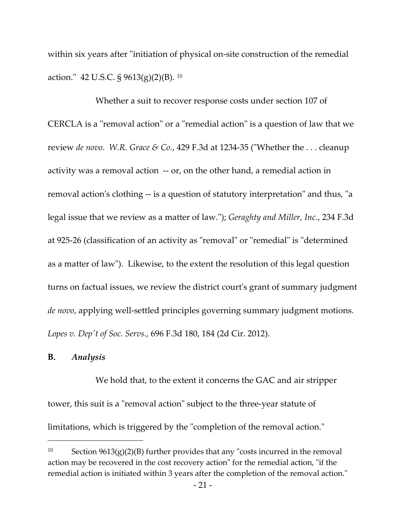within six years after "initiation of physical on-site construction of the remedial action." 42 U.S.C. § 9613(g)(2)(B). <sup>10</sup>

Whether a suit to recover response costs under section 107 of CERCLA is a "removal action" or a "remedial action" is a question of law that we review *de novo*. *W.R. Grace & Co.*, 429 F.3d at 1234-35 ("Whether the . . . cleanup activity was a removal action -- or, on the other hand, a remedial action in removal action's clothing -- is a question of statutory interpretation" and thus, "a legal issue that we review as a matter of law."); *Geraghty and Miller, Inc.*, 234 F.3d at 925-26 (classification of an activity as "removal" or "remedial" is "determined as a matter of law"). Likewise, to the extent the resolution of this legal question turns on factual issues, we review the district court's grant of summary judgment *de novo*, applying well-settled principles governing summary judgment motions*. Lopes v. Dep't of Soc. Servs.*, 696 F.3d 180, 184 (2d Cir. 2012).

### **B.** *Analysis*

We hold that, to the extent it concerns the GAC and air stripper tower, this suit is a "removal action" subject to the three-year statute of limitations, which is triggered by the "completion of the removal action."

<sup>10</sup> Section 9613(g)(2)(B) further provides that any "costs incurred in the removal action may be recovered in the cost recovery action" for the remedial action, "if the remedial action is initiated within 3 years after the completion of the removal action."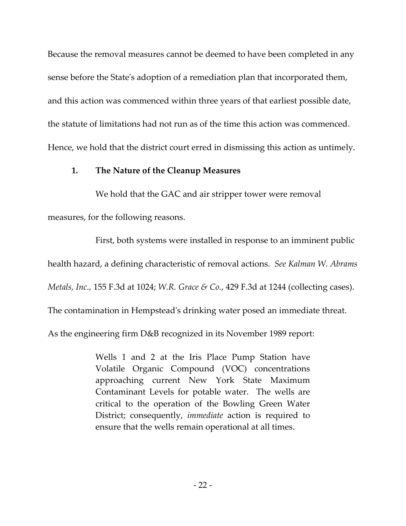Because the removal measures cannot be deemed to have been completed in any sense before the State's adoption of a remediation plan that incorporated them, and this action was commenced within three years of that earliest possible date, the statute of limitations had not run as of the time this action was commenced. Hence, we hold that the district court erred in dismissing this action as untimely.

## **1. The Nature of the Cleanup Measures**

We hold that the GAC and air stripper tower were removal measures, for the following reasons.

First, both systems were installed in response to an imminent public health hazard, a defining characteristic of removal actions. *See Kalman W. Abrams Metals, Inc.,* 155 F.3d at 1024; *W.R. Grace & Co.*, 429 F.3d at 1244 (collecting cases). The contamination in Hempstead's drinking water posed an immediate threat.

As the engineering firm D&B recognized in its November 1989 report:

Wells 1 and 2 at the Iris Place Pump Station have Volatile Organic Compound (VOC) concentrations approaching current New York State Maximum Contaminant Levels for potable water. The wells are critical to the operation of the Bowling Green Water District; consequently, *immediate* action is required to ensure that the wells remain operational at all times.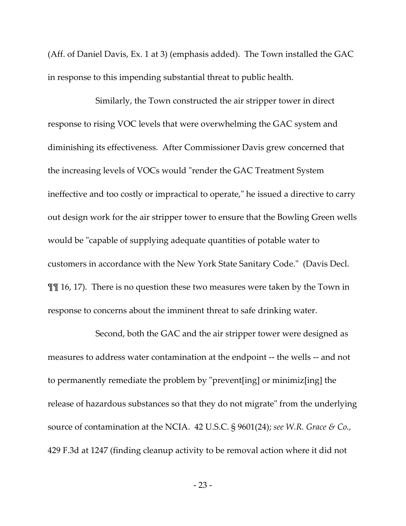(Aff. of Daniel Davis, Ex. 1 at 3) (emphasis added). The Town installed the GAC in response to this impending substantial threat to public health.

Similarly, the Town constructed the air stripper tower in direct response to rising VOC levels that were overwhelming the GAC system and diminishing its effectiveness. After Commissioner Davis grew concerned that the increasing levels of VOCs would "render the GAC Treatment System ineffective and too costly or impractical to operate," he issued a directive to carry out design work for the air stripper tower to ensure that the Bowling Green wells would be "capable of supplying adequate quantities of potable water to customers in accordance with the New York State Sanitary Code." (Davis Decl. ¶¶ 16, 17). There is no question these two measures were taken by the Town in response to concerns about the imminent threat to safe drinking water.

Second, both the GAC and the air stripper tower were designed as measures to address water contamination at the endpoint -- the wells -- and not to permanently remediate the problem by "prevent[ing] or minimiz[ing] the release of hazardous substances so that they do not migrate" from the underlying source of contamination at the NCIA. 42 U.S.C. § 9601(24); *see W.R. Grace & Co.,* 429 F.3d at 1247 (finding cleanup activity to be removal action where it did not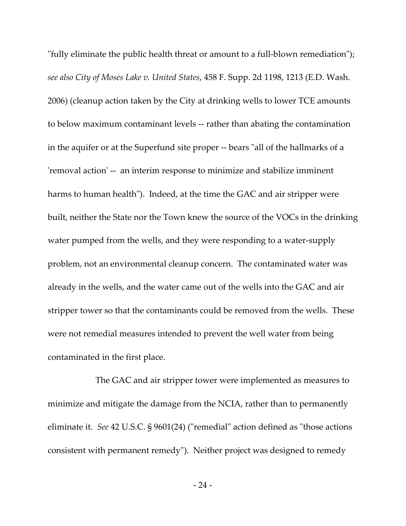"fully eliminate the public health threat or amount to a full-blown remediation"); *see also City of Moses Lake v. United States*, 458 F. Supp. 2d 1198, 1213 (E.D. Wash. 2006) (cleanup action taken by the City at drinking wells to lower TCE amounts to below maximum contaminant levels -- rather than abating the contamination in the aquifer or at the Superfund site proper -- bears "all of the hallmarks of a 'removal action' -- an interim response to minimize and stabilize imminent harms to human health"). Indeed, at the time the GAC and air stripper were built, neither the State nor the Town knew the source of the VOCs in the drinking water pumped from the wells, and they were responding to a water-supply problem, not an environmental cleanup concern. The contaminated water was already in the wells, and the water came out of the wells into the GAC and air stripper tower so that the contaminants could be removed from the wells. These were not remedial measures intended to prevent the well water from being contaminated in the first place.

The GAC and air stripper tower were implemented as measures to minimize and mitigate the damage from the NCIA, rather than to permanently eliminate it. *See* 42 U.S.C. § 9601(24) ("remedial" action defined as "those actions consistent with permanent remedy"). Neither project was designed to remedy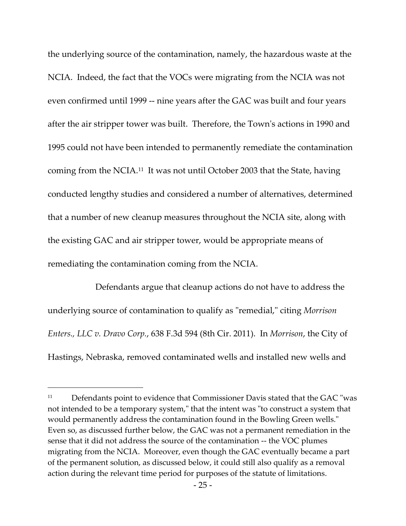the underlying source of the contamination, namely, the hazardous waste at the NCIA. Indeed, the fact that the VOCs were migrating from the NCIA was not even confirmed until 1999 -- nine years after the GAC was built and four years after the air stripper tower was built. Therefore, the Town's actions in 1990 and 1995 could not have been intended to permanently remediate the contamination coming from the NCIA.<sup>11</sup> It was not until October 2003 that the State, having conducted lengthy studies and considered a number of alternatives, determined that a number of new cleanup measures throughout the NCIA site, along with the existing GAC and air stripper tower, would be appropriate means of remediating the contamination coming from the NCIA.

Defendants argue that cleanup actions do not have to address the underlying source of contamination to qualify as "remedial," citing *Morrison Enters., LLC v. Dravo Corp.*, 638 F.3d 594 (8th Cir. 2011). In *Morrison*, the City of Hastings, Nebraska, removed contaminated wells and installed new wells and

<sup>&</sup>lt;sup>11</sup> Defendants point to evidence that Commissioner Davis stated that the GAC "was not intended to be a temporary system," that the intent was "to construct a system that would permanently address the contamination found in the Bowling Green wells." Even so, as discussed further below, the GAC was not a permanent remediation in the sense that it did not address the source of the contamination -- the VOC plumes migrating from the NCIA. Moreover, even though the GAC eventually became a part of the permanent solution, as discussed below, it could still also qualify as a removal action during the relevant time period for purposes of the statute of limitations.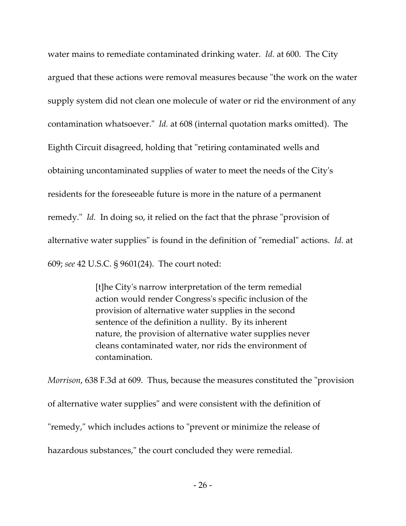water mains to remediate contaminated drinking water. *Id.* at 600. The City argued that these actions were removal measures because "the work on the water supply system did not clean one molecule of water or rid the environment of any contamination whatsoever." *Id.* at 608 (internal quotation marks omitted). The Eighth Circuit disagreed, holding that "retiring contaminated wells and obtaining uncontaminated supplies of water to meet the needs of the City's residents for the foreseeable future is more in the nature of a permanent remedy." *Id.* In doing so, it relied on the fact that the phrase "provision of alternative water supplies" is found in the definition of "remedial" actions. *Id.* at 609; *see* 42 U.S.C. § 9601(24). The court noted:

> [t]he City's narrow interpretation of the term remedial action would render Congress's specific inclusion of the provision of alternative water supplies in the second sentence of the definition a nullity. By its inherent nature, the provision of alternative water supplies never cleans contaminated water, nor rids the environment of contamination.

*Morrison*, 638 F.3d at 609*.* Thus, because the measures constituted the "provision of alternative water supplies" and were consistent with the definition of "remedy," which includes actions to "prevent or minimize the release of hazardous substances," the court concluded they were remedial.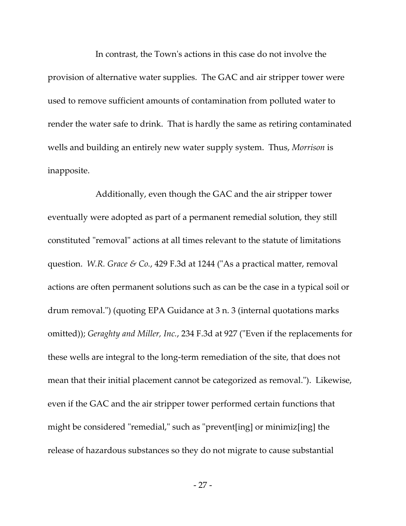In contrast, the Town's actions in this case do not involve the provision of alternative water supplies. The GAC and air stripper tower were used to remove sufficient amounts of contamination from polluted water to render the water safe to drink. That is hardly the same as retiring contaminated wells and building an entirely new water supply system. Thus, *Morrison* is inapposite.

Additionally, even though the GAC and the air stripper tower eventually were adopted as part of a permanent remedial solution, they still constituted "removal" actions at all times relevant to the statute of limitations question. *W.R. Grace & Co.*, 429 F.3d at 1244 ("As a practical matter, removal actions are often permanent solutions such as can be the case in a typical soil or drum removal.") (quoting EPA Guidance at 3 n. 3 (internal quotations marks omitted)); *Geraghty and Miller, Inc.*, 234 F.3d at 927 ("Even if the replacements for these wells are integral to the long-term remediation of the site, that does not mean that their initial placement cannot be categorized as removal."). Likewise, even if the GAC and the air stripper tower performed certain functions that might be considered "remedial," such as "prevent[ing] or minimiz[ing] the release of hazardous substances so they do not migrate to cause substantial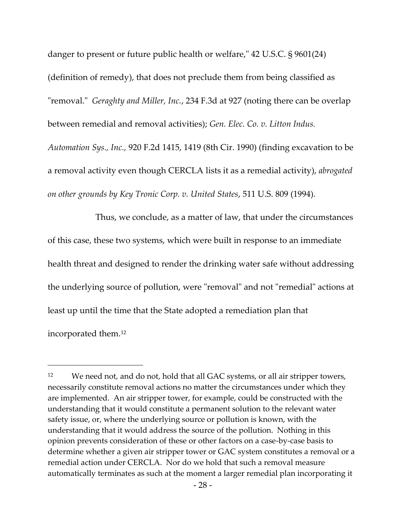danger to present or future public health or welfare," 42 U.S.C. § 9601(24) (definition of remedy), that does not preclude them from being classified as "removal." *Geraghty and Miller, Inc.*, 234 F.3d at 927 (noting there can be overlap between remedial and removal activities); *Gen. Elec. Co. v. Litton Indus. Automation Sys., Inc.,* 920 F.2d 1415, 1419 (8th Cir. 1990) (finding excavation to be a removal activity even though CERCLA lists it as a remedial activity), *abrogated on other grounds by Key Tronic Corp. v. United States*, 511 U.S. 809 (1994).

Thus, we conclude, as a matter of law, that under the circumstances of this case, these two systems, which were built in response to an immediate health threat and designed to render the drinking water safe without addressing the underlying source of pollution, were "removal" and not "remedial" actions at least up until the time that the State adopted a remediation plan that incorporated them. 12

 $\overline{a}$ 

<sup>&</sup>lt;sup>12</sup> We need not, and do not, hold that all GAC systems, or all air stripper towers, necessarily constitute removal actions no matter the circumstances under which they are implemented. An air stripper tower, for example, could be constructed with the understanding that it would constitute a permanent solution to the relevant water safety issue, or, where the underlying source or pollution is known, with the understanding that it would address the source of the pollution. Nothing in this opinion prevents consideration of these or other factors on a case-by-case basis to determine whether a given air stripper tower or GAC system constitutes a removal or a remedial action under CERCLA. Nor do we hold that such a removal measure automatically terminates as such at the moment a larger remedial plan incorporating it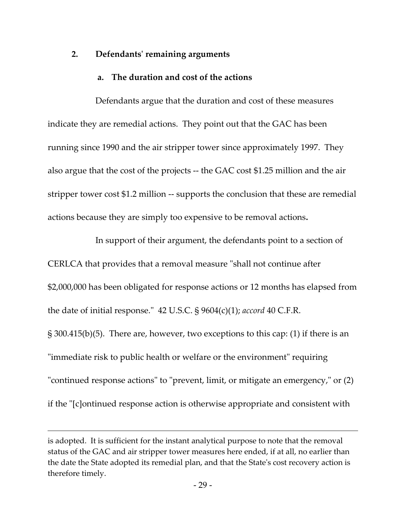## **2. Defendants' remaining arguments**

## **a. The duration and cost of the actions**

Defendants argue that the duration and cost of these measures indicate they are remedial actions. They point out that the GAC has been running since 1990 and the air stripper tower since approximately 1997. They also argue that the cost of the projects -- the GAC cost \$1.25 million and the air stripper tower cost \$1.2 million -- supports the conclusion that these are remedial actions because they are simply too expensive to be removal actions**.** 

In support of their argument, the defendants point to a section of CERLCA that provides that a removal measure "shall not continue after \$2,000,000 has been obligated for response actions or 12 months has elapsed from the date of initial response." 42 U.S.C. § 9604(c)(1); *accord* 40 C.F.R. § 300.415(b)(5). There are, however, two exceptions to this cap: (1) if there is an "immediate risk to public health or welfare or the environment" requiring "continued response actions" to "prevent, limit, or mitigate an emergency," or (2) if the "[c]ontinued response action is otherwise appropriate and consistent with

 $\overline{a}$ 

is adopted. It is sufficient for the instant analytical purpose to note that the removal status of the GAC and air stripper tower measures here ended, if at all, no earlier than the date the State adopted its remedial plan, and that the State's cost recovery action is therefore timely.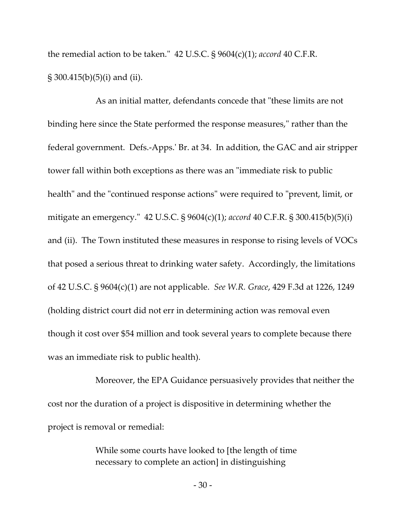the remedial action to be taken." 42 U.S.C. § 9604(c)(1); *accord* 40 C.F.R. § 300.415(b)(5)(i) and (ii).

As an initial matter, defendants concede that "these limits are not binding here since the State performed the response measures," rather than the federal government. Defs.-Apps.' Br. at 34. In addition, the GAC and air stripper tower fall within both exceptions as there was an "immediate risk to public health" and the "continued response actions" were required to "prevent, limit, or mitigate an emergency." 42 U.S.C. § 9604(c)(1); *accord* 40 C.F.R. § 300.415(b)(5)(i) and (ii). The Town instituted these measures in response to rising levels of VOCs that posed a serious threat to drinking water safety. Accordingly, the limitations of 42 U.S.C. § 9604(c)(1) are not applicable. *See W.R. Grace*, 429 F.3d at 1226, 1249 (holding district court did not err in determining action was removal even though it cost over \$54 million and took several years to complete because there was an immediate risk to public health).

Moreover, the EPA Guidance persuasively provides that neither the cost nor the duration of a project is dispositive in determining whether the project is removal or remedial:

> While some courts have looked to [the length of time necessary to complete an action] in distinguishing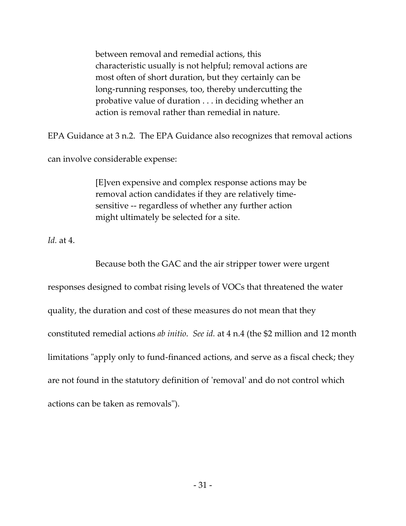between removal and remedial actions, this characteristic usually is not helpful; removal actions are most often of short duration, but they certainly can be long-running responses, too, thereby undercutting the probative value of duration . . . in deciding whether an action is removal rather than remedial in nature.

EPA Guidance at 3 n.2. The EPA Guidance also recognizes that removal actions

can involve considerable expense:

[E]ven expensive and complex response actions may be removal action candidates if they are relatively timesensitive -- regardless of whether any further action might ultimately be selected for a site.

*Id.* at 4.

Because both the GAC and the air stripper tower were urgent responses designed to combat rising levels of VOCs that threatened the water quality, the duration and cost of these measures do not mean that they constituted remedial actions *ab initio*. *See id.* at 4 n.4 (the \$2 million and 12 month limitations "apply only to fund-financed actions, and serve as a fiscal check; they are not found in the statutory definition of 'removal' and do not control which actions can be taken as removals").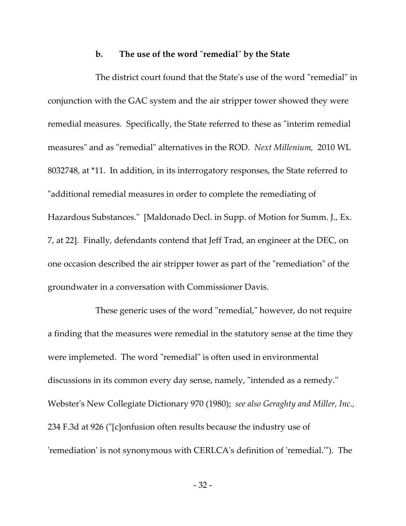#### **b. The use of the word** "**remedial**" **by the State**

The district court found that the State's use of the word "remedial" in conjunction with the GAC system and the air stripper tower showed they were remedial measures. Specifically, the State referred to these as "interim remedial measures" and as "remedial" alternatives in the ROD. *Next Millenium,* 2010 WL 8032748, at \*11. In addition, in its interrogatory responses, the State referred to "additional remedial measures in order to complete the remediating of Hazardous Substances." [Maldonado Decl. in Supp. of Motion for Summ. J., Ex. 7, at 22]. Finally, defendants contend that Jeff Trad, an engineer at the DEC, on one occasion described the air stripper tower as part of the "remediation" of the groundwater in a conversation with Commissioner Davis.

These generic uses of the word "remedial," however, do not require a finding that the measures were remedial in the statutory sense at the time they were implemeted. The word "remedial" is often used in environmental discussions in its common every day sense, namely, "intended as a remedy." Webster's New Collegiate Dictionary 970 (1980); *see also Geraghty and Miller, Inc.,* 234 F.3d at 926 ("[c]onfusion often results because the industry use of 'remediation' is not synonymous with CERLCA's definition of 'remedial.'"). The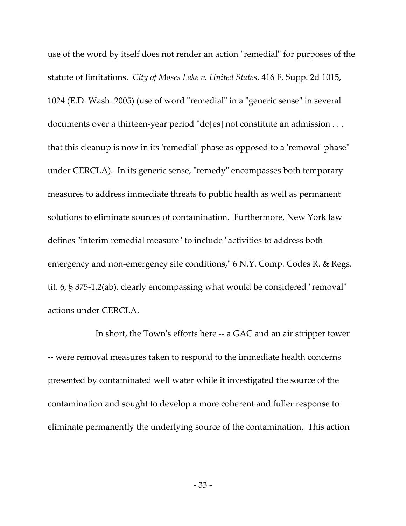use of the word by itself does not render an action "remedial" for purposes of the statute of limitations. *City of Moses Lake v. United State*s, 416 F. Supp. 2d 1015, 1024 (E.D. Wash. 2005) (use of word "remedial" in a "generic sense" in several documents over a thirteen-year period "do[es] not constitute an admission . . . that this cleanup is now in its 'remedial' phase as opposed to a 'removal' phase" under CERCLA). In its generic sense, "remedy" encompasses both temporary measures to address immediate threats to public health as well as permanent solutions to eliminate sources of contamination. Furthermore, New York law defines "interim remedial measure" to include "activities to address both emergency and non-emergency site conditions," 6 N.Y. Comp. Codes R. & Regs. tit. 6, § 375-1.2(ab), clearly encompassing what would be considered "removal" actions under CERCLA.

In short, the Town's efforts here -- a GAC and an air stripper tower -- were removal measures taken to respond to the immediate health concerns presented by contaminated well water while it investigated the source of the contamination and sought to develop a more coherent and fuller response to eliminate permanently the underlying source of the contamination. This action